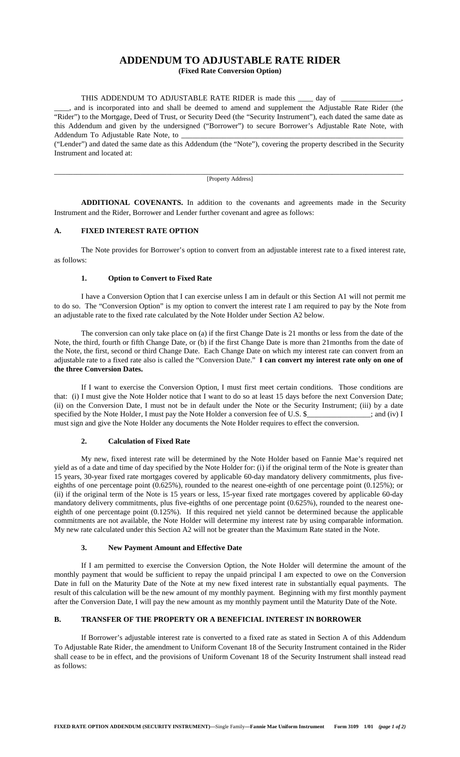# **ADDENDUM TO ADJUSTABLE RATE RIDER**

**(Fixed Rate Conversion Option)**

THIS ADDENDUM TO ADJUSTABLE RATE RIDER is made this \_\_\_\_\_\_\_\_ day of

\_\_\_\_, and is incorporated into and shall be deemed to amend and supplement the Adjustable Rate Rider (the "Rider") to the Mortgage, Deed of Trust, or Security Deed (the "Security Instrument"), each dated the same date as this Addendum and given by the undersigned ("Borrower") to secure Borrower's Adjustable Rate Note, with Addendum To Adjustable Rate Note, to \_

("Lender") and dated the same date as this Addendum (the "Note"), covering the property described in the Security Instrument and located at:

\_\_\_\_\_\_\_\_\_\_\_\_\_\_\_\_\_\_\_\_\_\_\_\_\_\_\_\_\_\_\_\_\_\_\_\_\_\_\_\_\_\_\_\_\_\_\_\_\_\_\_\_\_\_\_\_\_\_\_\_\_\_\_\_\_\_\_\_\_\_\_\_\_\_\_\_\_\_\_\_\_\_\_\_\_\_\_\_\_\_\_\_\_ [Property Address]

**ADDITIONAL COVENANTS.** In addition to the covenants and agreements made in the Security Instrument and the Rider, Borrower and Lender further covenant and agree as follows:

## **A. FIXED INTEREST RATE OPTION**

The Note provides for Borrower's option to convert from an adjustable interest rate to a fixed interest rate, as follows:

### **1. Option to Convert to Fixed Rate**

I have a Conversion Option that I can exercise unless I am in default or this Section A1 will not permit me to do so. The "Conversion Option" is my option to convert the interest rate I am required to pay by the Note from an adjustable rate to the fixed rate calculated by the Note Holder under Section A2 below.

The conversion can only take place on (a) if the first Change Date is 21 months or less from the date of the Note, the third, fourth or fifth Change Date, or (b) if the first Change Date is more than 21months from the date of the Note, the first, second or third Change Date. Each Change Date on which my interest rate can convert from an adjustable rate to a fixed rate also is called the "Conversion Date." **I can convert my interest rate only on one of the three Conversion Dates.**

If I want to exercise the Conversion Option, I must first meet certain conditions. Those conditions are that: (i) I must give the Note Holder notice that I want to do so at least 15 days before the next Conversion Date; (ii) on the Conversion Date, I must not be in default under the Note or the Security Instrument; (iii) by a date specified by the Note Holder, I must pay the Note Holder a conversion fee of U.S. \$  $\qquad \qquad ;$  and (iv) I must sign and give the Note Holder any documents the Note Holder requires to effect the conversion.

### **2. Calculation of Fixed Rate**

My new, fixed interest rate will be determined by the Note Holder based on Fannie Mae's required net yield as of a date and time of day specified by the Note Holder for: (i) if the original term of the Note is greater than 15 years, 30-year fixed rate mortgages covered by applicable 60-day mandatory delivery commitments, plus fiveeighths of one percentage point (0.625%), rounded to the nearest one-eighth of one percentage point (0.125%); or (ii) if the original term of the Note is 15 years or less, 15-year fixed rate mortgages covered by applicable 60-day mandatory delivery commitments, plus five-eighths of one percentage point (0.625%), rounded to the nearest oneeighth of one percentage point (0.125%). If this required net yield cannot be determined because the applicable commitments are not available, the Note Holder will determine my interest rate by using comparable information. My new rate calculated under this Section A2 will not be greater than the Maximum Rate stated in the Note.

### **3. New Payment Amount and Effective Date**

If I am permitted to exercise the Conversion Option, the Note Holder will determine the amount of the monthly payment that would be sufficient to repay the unpaid principal I am expected to owe on the Conversion Date in full on the Maturity Date of the Note at my new fixed interest rate in substantially equal payments. The result of this calculation will be the new amount of my monthly payment. Beginning with my first monthly payment after the Conversion Date, I will pay the new amount as my monthly payment until the Maturity Date of the Note.

## **B. TRANSFER OF THE PROPERTY OR A BENEFICIAL INTEREST IN BORROWER**

If Borrower's adjustable interest rate is converted to a fixed rate as stated in Section A of this Addendum To Adjustable Rate Rider, the amendment to Uniform Covenant 18 of the Security Instrument contained in the Rider shall cease to be in effect, and the provisions of Uniform Covenant 18 of the Security Instrument shall instead read as follows: